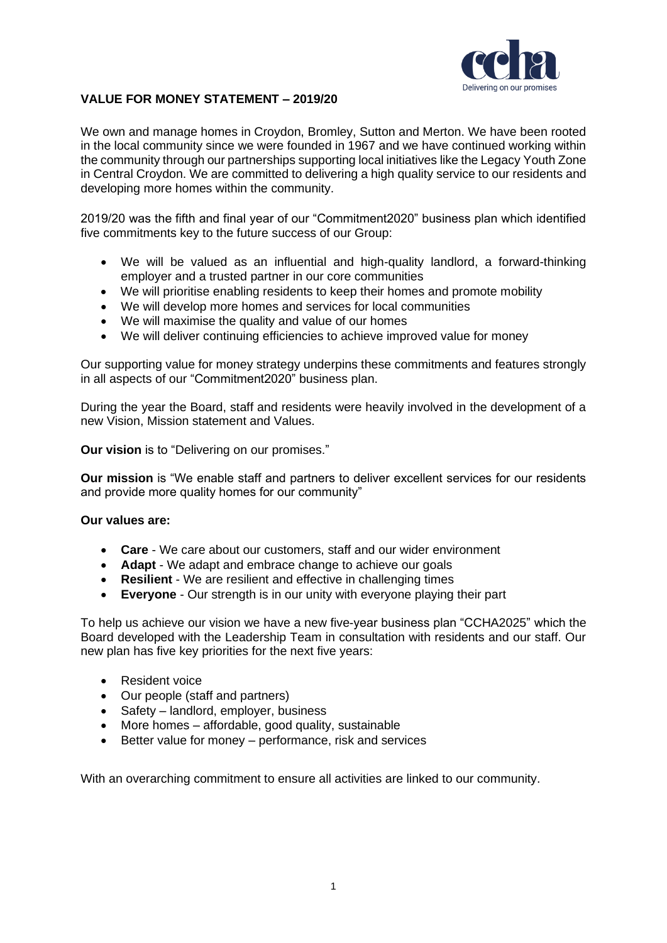

### **VALUE FOR MONEY STATEMENT – 2019/20**

We own and manage homes in Croydon, Bromley, Sutton and Merton. We have been rooted in the local community since we were founded in 1967 and we have continued working within the community through our partnerships supporting local initiatives like the Legacy Youth Zone in Central Croydon. We are committed to delivering a high quality service to our residents and developing more homes within the community.

2019/20 was the fifth and final year of our "Commitment2020" business plan which identified five commitments key to the future success of our Group:

- We will be valued as an influential and high-quality landlord, a forward-thinking employer and a trusted partner in our core communities
- We will prioritise enabling residents to keep their homes and promote mobility
- We will develop more homes and services for local communities
- We will maximise the quality and value of our homes
- We will deliver continuing efficiencies to achieve improved value for money

Our supporting value for money strategy underpins these commitments and features strongly in all aspects of our "Commitment2020" business plan.

During the year the Board, staff and residents were heavily involved in the development of a new Vision, Mission statement and Values.

**Our vision** is to "Delivering on our promises."

**Our mission** is "We enable staff and partners to deliver excellent services for our residents and provide more quality homes for our community"

#### **Our values are:**

- **Care** We care about our customers, staff and our wider environment
- **Adapt** We adapt and embrace change to achieve our goals
- **Resilient**  We are resilient and effective in challenging times
- **Everyone** Our strength is in our unity with everyone playing their part

To help us achieve our vision we have a new five-year business plan "CCHA2025" which the Board developed with the Leadership Team in consultation with residents and our staff. Our new plan has five key priorities for the next five years:

- Resident voice
- Our people (staff and partners)
- Safety landlord, employer, business
- More homes affordable, good quality, sustainable
- Better value for money performance, risk and services

With an overarching commitment to ensure all activities are linked to our community.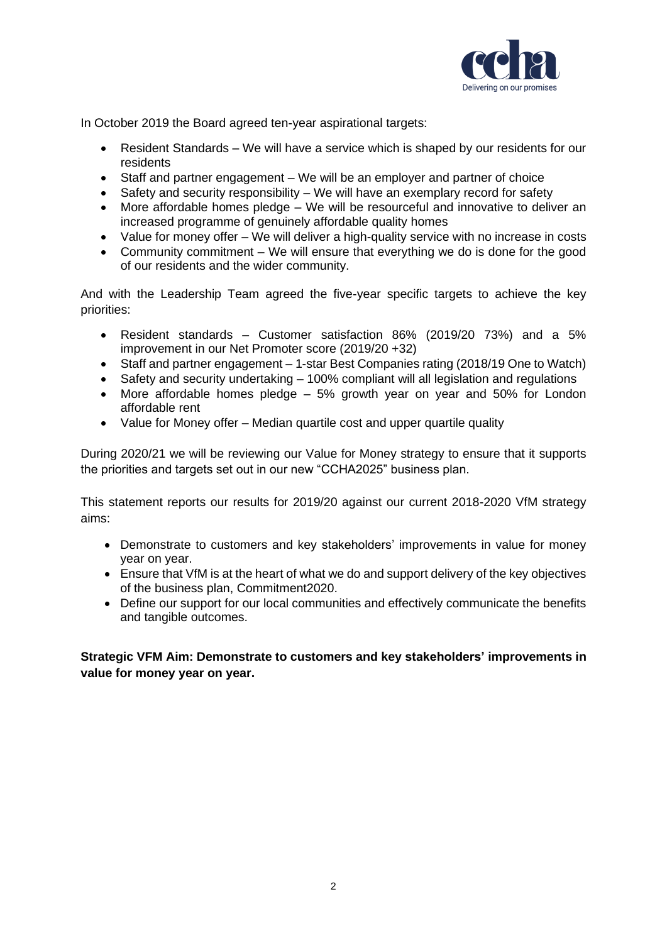

In October 2019 the Board agreed ten-year aspirational targets:

- Resident Standards We will have a service which is shaped by our residents for our residents
- Staff and partner engagement We will be an employer and partner of choice
- Safety and security responsibility We will have an exemplary record for safety
- More affordable homes pledge We will be resourceful and innovative to deliver an increased programme of genuinely affordable quality homes
- Value for money offer We will deliver a high-quality service with no increase in costs
- Community commitment We will ensure that everything we do is done for the good of our residents and the wider community.

And with the Leadership Team agreed the five-year specific targets to achieve the key priorities:

- Resident standards Customer satisfaction 86% (2019/20 73%) and a 5% improvement in our Net Promoter score (2019/20 +32)
- Staff and partner engagement 1-star Best Companies rating (2018/19 One to Watch)
- Safety and security undertaking 100% compliant will all legislation and regulations
- More affordable homes pledge 5% growth year on year and 50% for London affordable rent
- Value for Money offer Median quartile cost and upper quartile quality

During 2020/21 we will be reviewing our Value for Money strategy to ensure that it supports the priorities and targets set out in our new "CCHA2025" business plan.

This statement reports our results for 2019/20 against our current 2018-2020 VfM strategy aims:

- Demonstrate to customers and key stakeholders' improvements in value for money year on year.
- Ensure that VfM is at the heart of what we do and support delivery of the key objectives of the business plan, Commitment2020.
- Define our support for our local communities and effectively communicate the benefits and tangible outcomes.

**Strategic VFM Aim: Demonstrate to customers and key stakeholders' improvements in value for money year on year.**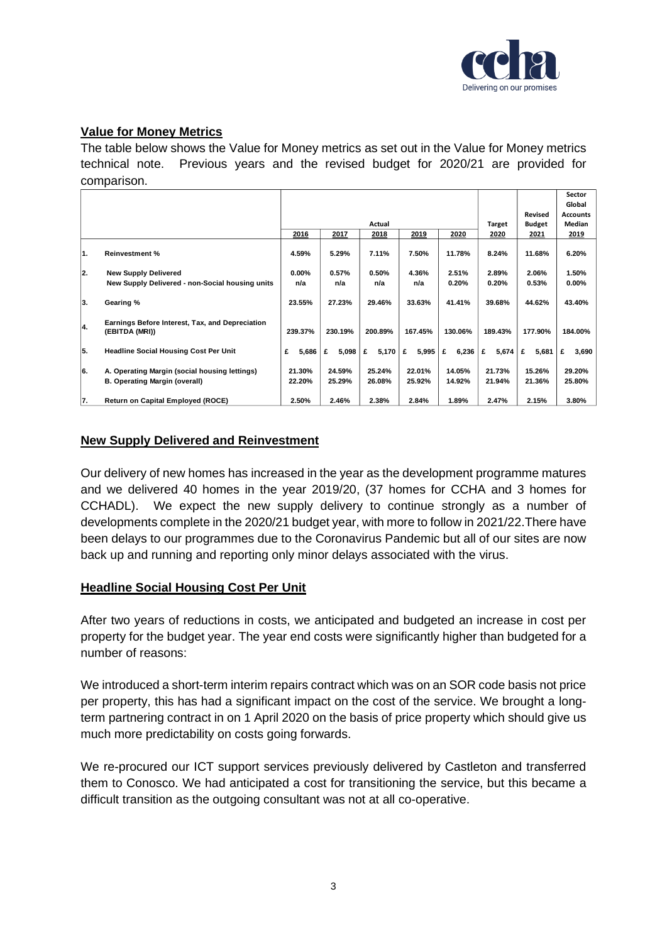

# **Value for Money Metrics**

The table below shows the Value for Money metrics as set out in the Value for Money metrics technical note. Previous years and the revised budget for 2020/21 are provided for comparison.

|     |                                                 |                                      |            |            |            |            |            |                | <b>Sector</b><br>Global |
|-----|-------------------------------------------------|--------------------------------------|------------|------------|------------|------------|------------|----------------|-------------------------|
|     |                                                 |                                      |            |            |            |            |            | <b>Revised</b> | <b>Accounts</b>         |
|     |                                                 | Actual                               |            |            |            |            | Target     | <b>Budget</b>  | Median                  |
|     |                                                 | 2016<br>2017<br>2019<br>2018<br>2020 |            |            |            |            | 2020       | 2021           | 2019                    |
|     |                                                 |                                      |            |            |            |            |            |                |                         |
| 1.  | <b>Reinvestment %</b>                           | 4.59%                                | 5.29%      | 7.11%      | 7.50%      | 11.78%     | 8.24%      | 11.68%         | 6.20%                   |
|     |                                                 |                                      |            |            |            |            |            |                |                         |
| 12. | <b>New Supply Delivered</b>                     | $0.00\%$                             | 0.57%      | 0.50%      | 4.36%      | 2.51%      | 2.89%      | 2.06%          | 1.50%                   |
|     | New Supply Delivered - non-Social housing units | n/a                                  | n/a        | n/a        | n/a        | 0.20%      | 0.20%      | 0.53%          | $0.00\%$                |
|     |                                                 |                                      |            |            |            |            |            |                |                         |
| 3.  | Gearing %                                       | 23.55%                               | 27.23%     | 29.46%     | 33.63%     | 41.41%     | 39.68%     | 44.62%         | 43.40%                  |
|     |                                                 |                                      |            |            |            |            |            |                |                         |
| 4.  | Earnings Before Interest, Tax, and Depreciation |                                      |            |            |            |            |            |                |                         |
|     | (EBITDA (MRI))                                  | 239.37%                              | 230.19%    | 200.89%    | 167.45%    | 130.06%    | 189.43%    | 177.90%        | 184.00%                 |
| 5.  | <b>Headline Social Housing Cost Per Unit</b>    | £<br>5,686                           | 5,098<br>£ | 5,170<br>£ | 5,995<br>£ | 6,236<br>£ | £<br>5,674 | £<br>5,681     | 3,690<br>£              |
|     |                                                 |                                      |            |            |            |            |            |                |                         |
| 6.  | A. Operating Margin (social housing lettings)   | 21.30%                               | 24.59%     | 25.24%     | 22.01%     | 14.05%     | 21.73%     | 15.26%         | 29.20%                  |
|     | B. Operating Margin (overall)                   | 22.20%                               | 25.29%     | 26.08%     | 25.92%     | 14.92%     | 21.94%     | 21.36%         | 25.80%                  |
|     |                                                 |                                      |            |            |            |            |            |                |                         |
| 17. | <b>Return on Capital Employed (ROCE)</b>        | 2.50%                                | 2.46%      | 2.38%      | 2.84%      | 1.89%      | 2.47%      | 2.15%          | 3.80%                   |
|     |                                                 |                                      |            |            |            |            |            |                |                         |

## **New Supply Delivered and Reinvestment**

Our delivery of new homes has increased in the year as the development programme matures and we delivered 40 homes in the year 2019/20, (37 homes for CCHA and 3 homes for CCHADL). We expect the new supply delivery to continue strongly as a number of developments complete in the 2020/21 budget year, with more to follow in 2021/22.There have been delays to our programmes due to the Coronavirus Pandemic but all of our sites are now back up and running and reporting only minor delays associated with the virus.

#### **Headline Social Housing Cost Per Unit**

After two years of reductions in costs, we anticipated and budgeted an increase in cost per property for the budget year. The year end costs were significantly higher than budgeted for a number of reasons:

We introduced a short-term interim repairs contract which was on an SOR code basis not price per property, this has had a significant impact on the cost of the service. We brought a longterm partnering contract in on 1 April 2020 on the basis of price property which should give us much more predictability on costs going forwards.

We re-procured our ICT support services previously delivered by Castleton and transferred them to Conosco. We had anticipated a cost for transitioning the service, but this became a difficult transition as the outgoing consultant was not at all co-operative.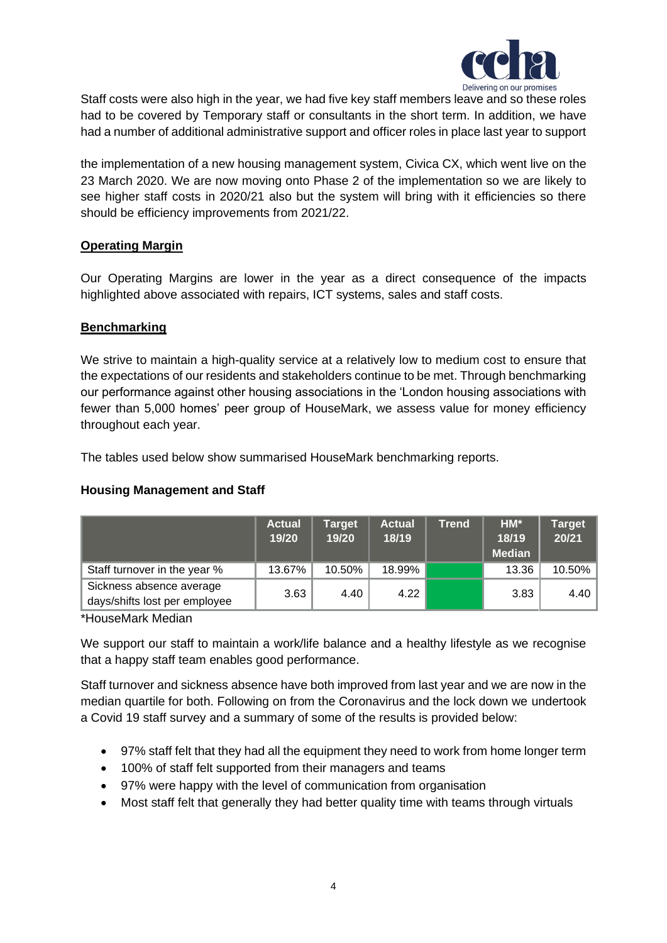

Staff costs were also high in the year, we had five key staff members leave and so these roles had to be covered by Temporary staff or consultants in the short term. In addition, we have had a number of additional administrative support and officer roles in place last year to support

the implementation of a new housing management system, Civica CX, which went live on the 23 March 2020. We are now moving onto Phase 2 of the implementation so we are likely to see higher staff costs in 2020/21 also but the system will bring with it efficiencies so there should be efficiency improvements from 2021/22.

## **Operating Margin**

Our Operating Margins are lower in the year as a direct consequence of the impacts highlighted above associated with repairs, ICT systems, sales and staff costs.

## **Benchmarking**

We strive to maintain a high-quality service at a relatively low to medium cost to ensure that the expectations of our residents and stakeholders continue to be met. Through benchmarking our performance against other housing associations in the 'London housing associations with fewer than 5,000 homes' peer group of HouseMark, we assess value for money efficiency throughout each year.

The tables used below show summarised HouseMark benchmarking reports.

# **Housing Management and Staff**

|                                                           | <b>Actual</b><br>19/20 | Target<br>19/20 | <b>Actual</b><br>18/19 | <b>Trend</b> | $HM*$<br>18/19<br><b>Median</b> | <b>Target</b><br>20/21 |
|-----------------------------------------------------------|------------------------|-----------------|------------------------|--------------|---------------------------------|------------------------|
| Staff turnover in the year %                              | 13.67%                 | 10.50%          | 18.99%                 |              | 13.36                           | $10.50\%$              |
| Sickness absence average<br>days/shifts lost per employee | 3.63                   | 4.40            | 4.22                   |              | 3.83                            | 4.40                   |

\*HouseMark Median

We support our staff to maintain a work/life balance and a healthy lifestyle as we recognise that a happy staff team enables good performance.

Staff turnover and sickness absence have both improved from last year and we are now in the median quartile for both. Following on from the Coronavirus and the lock down we undertook a Covid 19 staff survey and a summary of some of the results is provided below:

- 97% staff felt that they had all the equipment they need to work from home longer term
- 100% of staff felt supported from their managers and teams
- 97% were happy with the level of communication from organisation
- Most staff felt that generally they had better quality time with teams through virtuals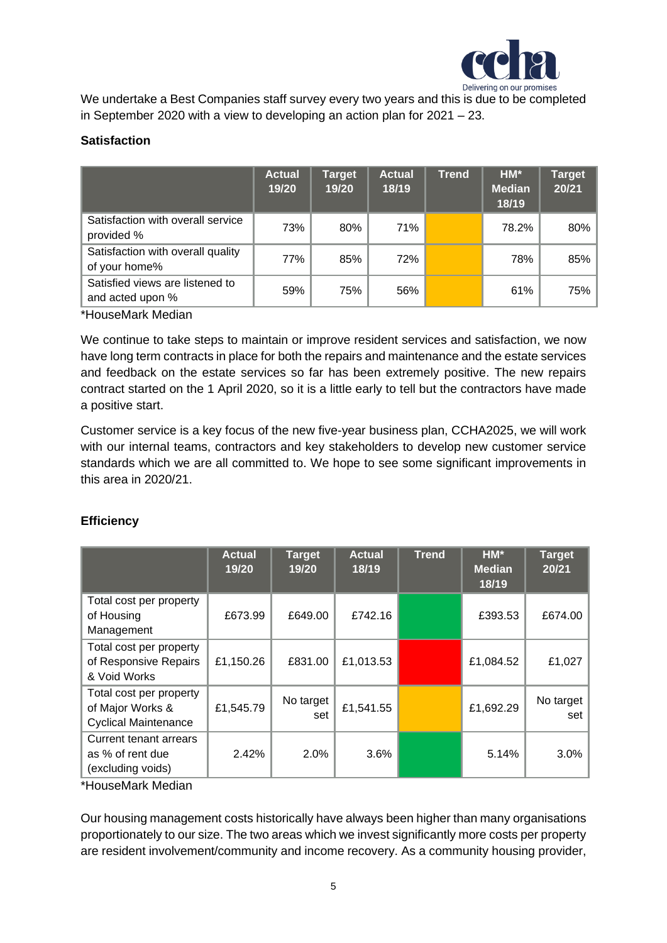

We undertake a Best Companies staff survey every two years and this is due to be completed in September 2020 with a view to developing an action plan for 2021 – 23.

## **Satisfaction**

|                                                     | <b>Actual</b><br>19/20 | <b>Target</b><br>19/20 | <b>Actual</b><br>18/19 | <b>Trend</b> | $HM*$<br><b>Median</b><br>18/19 | <b>Target</b><br>20/21 |
|-----------------------------------------------------|------------------------|------------------------|------------------------|--------------|---------------------------------|------------------------|
| Satisfaction with overall service<br>provided %     | 73%                    | 80%                    | 71%                    |              | 78.2%                           | 80%                    |
| Satisfaction with overall quality<br>of your home%  | 77%                    | 85%                    | 72%                    |              | 78%                             | 85%                    |
| Satisfied views are listened to<br>and acted upon % | 59%                    | 75%                    | 56%                    |              | 61%                             | 75%                    |

\*HouseMark Median

We continue to take steps to maintain or improve resident services and satisfaction, we now have long term contracts in place for both the repairs and maintenance and the estate services and feedback on the estate services so far has been extremely positive. The new repairs contract started on the 1 April 2020, so it is a little early to tell but the contractors have made a positive start.

Customer service is a key focus of the new five-year business plan, CCHA2025, we will work with our internal teams, contractors and key stakeholders to develop new customer service standards which we are all committed to. We hope to see some significant improvements in this area in 2020/21.

# **Efficiency**

|                                                                            | <b>Actual</b><br>19/20 | <b>Target</b><br>19/20 | <b>Actual</b><br>18/19 | <b>Trend</b> | HM*<br><b>Median</b><br>18/19 | <b>Target</b><br>20/21 |
|----------------------------------------------------------------------------|------------------------|------------------------|------------------------|--------------|-------------------------------|------------------------|
| Total cost per property<br>of Housing<br>Management                        | £673.99                | £649.00                | £742.16                |              | £393.53                       | £674.00                |
| Total cost per property<br>of Responsive Repairs<br>& Void Works           | £1,150.26              | £831.00                | £1,013.53              |              | £1,084.52                     | £1,027                 |
| Total cost per property<br>of Major Works &<br><b>Cyclical Maintenance</b> | £1,545.79              | No target<br>set       | £1,541.55              |              | £1,692.29                     | No target<br>set       |
| Current tenant arrears<br>as % of rent due<br>(excluding voids)            | 2.42%                  | 2.0%                   | 3.6%                   |              | 5.14%                         | 3.0%                   |

\*HouseMark Median

Our housing management costs historically have always been higher than many organisations proportionately to our size. The two areas which we invest significantly more costs per property are resident involvement/community and income recovery. As a community housing provider,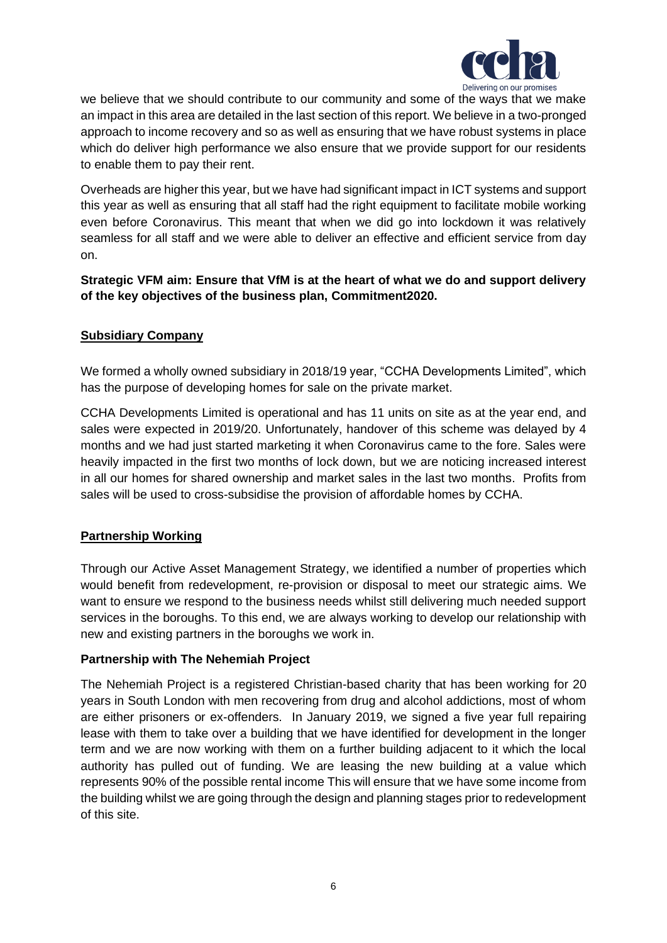

we believe that we should contribute to our community and some of the ways that we make an impact in this area are detailed in the last section of this report. We believe in a two-pronged approach to income recovery and so as well as ensuring that we have robust systems in place which do deliver high performance we also ensure that we provide support for our residents to enable them to pay their rent.

Overheads are higher this year, but we have had significant impact in ICT systems and support this year as well as ensuring that all staff had the right equipment to facilitate mobile working even before Coronavirus. This meant that when we did go into lockdown it was relatively seamless for all staff and we were able to deliver an effective and efficient service from day on.

**Strategic VFM aim: Ensure that VfM is at the heart of what we do and support delivery of the key objectives of the business plan, Commitment2020.**

#### **Subsidiary Company**

We formed a wholly owned subsidiary in 2018/19 year, "CCHA Developments Limited", which has the purpose of developing homes for sale on the private market.

CCHA Developments Limited is operational and has 11 units on site as at the year end, and sales were expected in 2019/20. Unfortunately, handover of this scheme was delayed by 4 months and we had just started marketing it when Coronavirus came to the fore. Sales were heavily impacted in the first two months of lock down, but we are noticing increased interest in all our homes for shared ownership and market sales in the last two months. Profits from sales will be used to cross-subsidise the provision of affordable homes by CCHA.

# **Partnership Working**

Through our Active Asset Management Strategy, we identified a number of properties which would benefit from redevelopment, re-provision or disposal to meet our strategic aims. We want to ensure we respond to the business needs whilst still delivering much needed support services in the boroughs. To this end, we are always working to develop our relationship with new and existing partners in the boroughs we work in.

#### **Partnership with The Nehemiah Project**

The Nehemiah Project is a registered Christian-based charity that has been working for 20 years in South London with men recovering from drug and alcohol addictions, most of whom are either prisoners or ex-offenders. In January 2019, we signed a five year full repairing lease with them to take over a building that we have identified for development in the longer term and we are now working with them on a further building adjacent to it which the local authority has pulled out of funding. We are leasing the new building at a value which represents 90% of the possible rental income This will ensure that we have some income from the building whilst we are going through the design and planning stages prior to redevelopment of this site.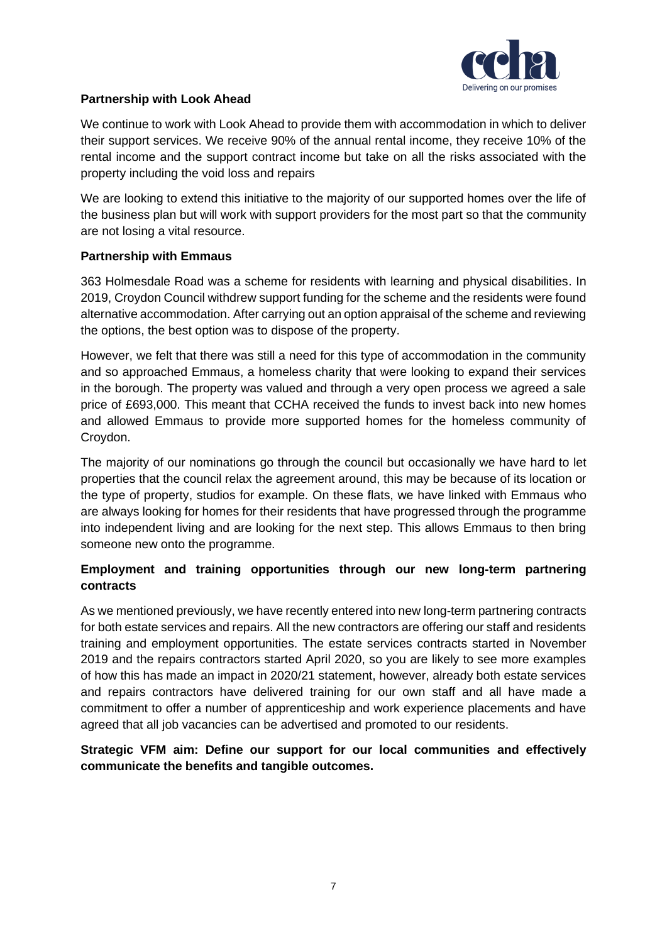

## **Partnership with Look Ahead**

We continue to work with Look Ahead to provide them with accommodation in which to deliver their support services. We receive 90% of the annual rental income, they receive 10% of the rental income and the support contract income but take on all the risks associated with the property including the void loss and repairs

We are looking to extend this initiative to the majority of our supported homes over the life of the business plan but will work with support providers for the most part so that the community are not losing a vital resource.

### **Partnership with Emmaus**

363 Holmesdale Road was a scheme for residents with learning and physical disabilities. In 2019, Croydon Council withdrew support funding for the scheme and the residents were found alternative accommodation. After carrying out an option appraisal of the scheme and reviewing the options, the best option was to dispose of the property.

However, we felt that there was still a need for this type of accommodation in the community and so approached Emmaus, a homeless charity that were looking to expand their services in the borough. The property was valued and through a very open process we agreed a sale price of £693,000. This meant that CCHA received the funds to invest back into new homes and allowed Emmaus to provide more supported homes for the homeless community of Croydon.

The majority of our nominations go through the council but occasionally we have hard to let properties that the council relax the agreement around, this may be because of its location or the type of property, studios for example. On these flats, we have linked with Emmaus who are always looking for homes for their residents that have progressed through the programme into independent living and are looking for the next step. This allows Emmaus to then bring someone new onto the programme.

## **Employment and training opportunities through our new long-term partnering contracts**

As we mentioned previously, we have recently entered into new long-term partnering contracts for both estate services and repairs. All the new contractors are offering our staff and residents training and employment opportunities. The estate services contracts started in November 2019 and the repairs contractors started April 2020, so you are likely to see more examples of how this has made an impact in 2020/21 statement, however, already both estate services and repairs contractors have delivered training for our own staff and all have made a commitment to offer a number of apprenticeship and work experience placements and have agreed that all job vacancies can be advertised and promoted to our residents.

# **Strategic VFM aim: Define our support for our local communities and effectively communicate the benefits and tangible outcomes.**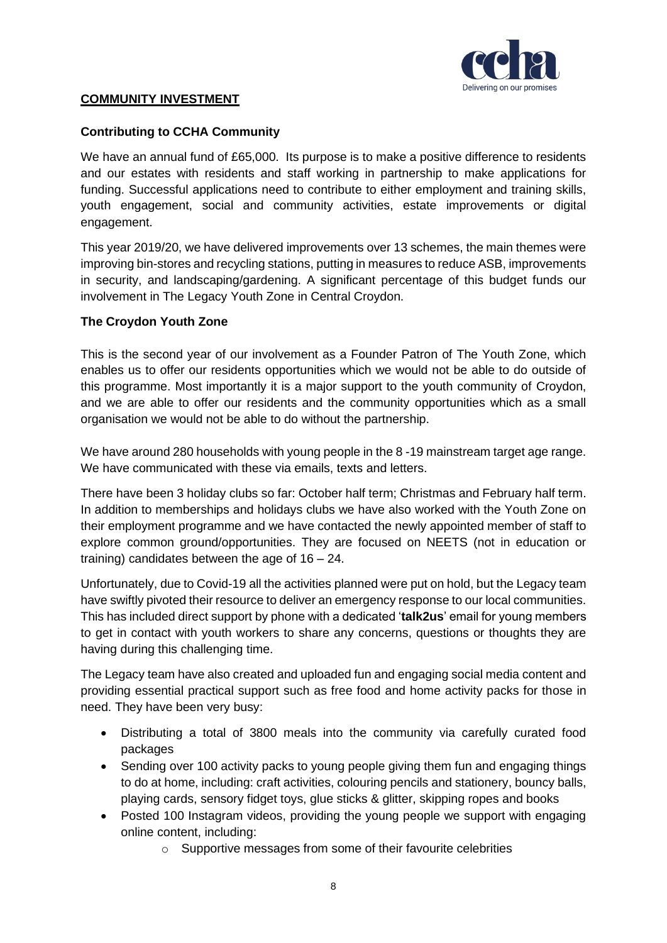

## **COMMUNITY INVESTMENT**

## **Contributing to CCHA Community**

We have an annual fund of £65,000. Its purpose is to make a positive difference to residents and our estates with residents and staff working in partnership to make applications for funding. Successful applications need to contribute to either employment and training skills, youth engagement, social and community activities, estate improvements or digital engagement.

This year 2019/20, we have delivered improvements over 13 schemes, the main themes were improving bin-stores and recycling stations, putting in measures to reduce ASB, improvements in security, and landscaping/gardening. A significant percentage of this budget funds our involvement in The Legacy Youth Zone in Central Croydon.

## **The Croydon Youth Zone**

This is the second year of our involvement as a Founder Patron of The Youth Zone, which enables us to offer our residents opportunities which we would not be able to do outside of this programme. Most importantly it is a major support to the youth community of Croydon, and we are able to offer our residents and the community opportunities which as a small organisation we would not be able to do without the partnership.

We have around 280 households with young people in the 8 -19 mainstream target age range. We have communicated with these via emails, texts and letters.

There have been 3 holiday clubs so far: October half term; Christmas and February half term. In addition to memberships and holidays clubs we have also worked with the Youth Zone on their employment programme and we have contacted the newly appointed member of staff to explore common ground/opportunities. They are focused on NEETS (not in education or training) candidates between the age of 16 – 24.

Unfortunately, due to Covid-19 all the activities planned were put on hold, but the Legacy team have swiftly pivoted their resource to deliver an emergency response to our local communities. This has included direct support by phone with a dedicated '**talk2us**' email for young members to get in contact with youth workers to share any concerns, questions or thoughts they are having during this challenging time.

The Legacy team have also created and uploaded fun and engaging social media content and providing essential practical support such as free food and home activity packs for those in need. They have been very busy:

- Distributing a total of 3800 meals into the community via carefully curated food packages
- Sending over 100 activity packs to young people giving them fun and engaging things to do at home, including: craft activities, colouring pencils and stationery, bouncy balls, playing cards, sensory fidget toys, glue sticks & glitter, skipping ropes and books
- Posted 100 Instagram videos, providing the young people we support with engaging online content, including:
	- o Supportive messages from some of their favourite celebrities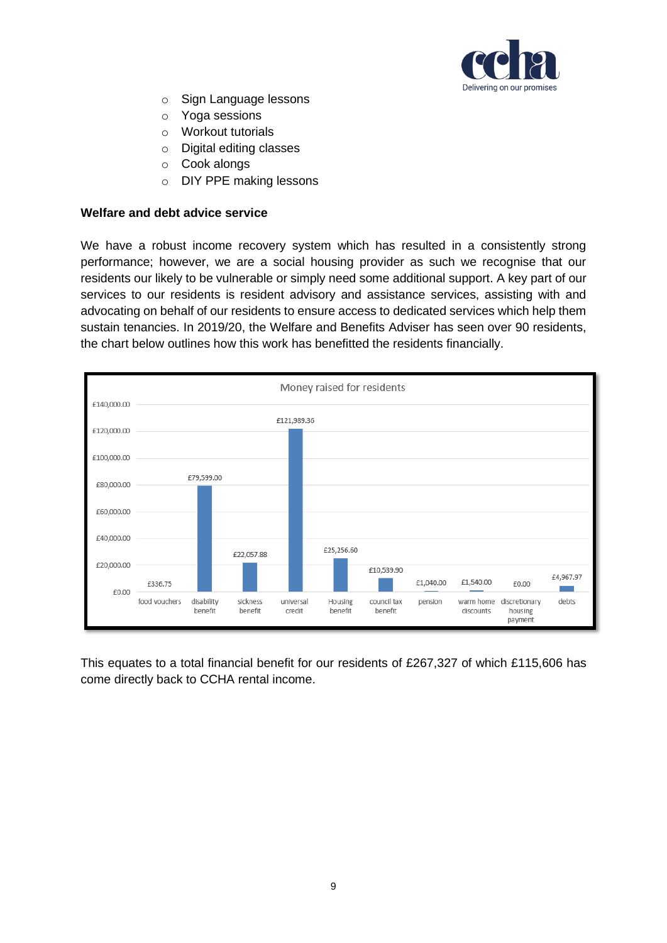

- o Sign Language lessons
- o Yoga sessions
- o Workout tutorials
- o Digital editing classes
- o Cook alongs
- o DIY PPE making lessons

#### **Welfare and debt advice service**

We have a robust income recovery system which has resulted in a consistently strong performance; however, we are a social housing provider as such we recognise that our residents our likely to be vulnerable or simply need some additional support. A key part of our services to our residents is resident advisory and assistance services, assisting with and advocating on behalf of our residents to ensure access to dedicated services which help them sustain tenancies. In 2019/20, the Welfare and Benefits Adviser has seen over 90 residents, the chart below outlines how this work has benefitted the residents financially.



This equates to a total financial benefit for our residents of £267,327 of which £115,606 has come directly back to CCHA rental income.